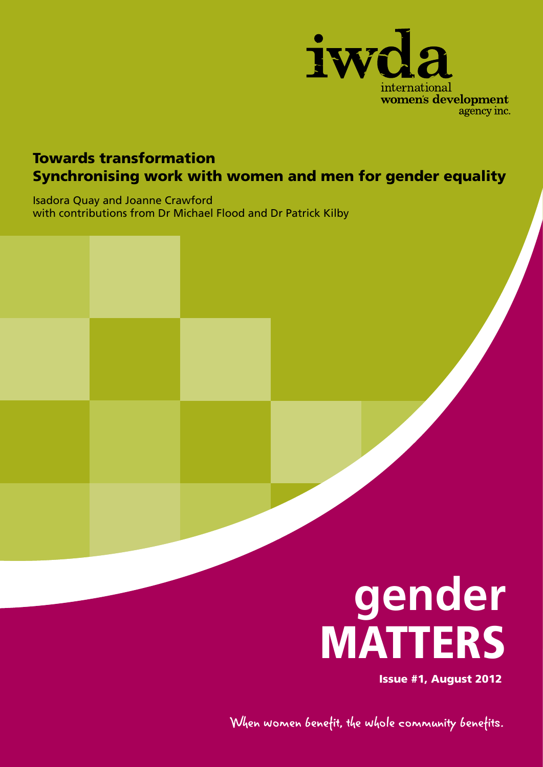

### Towards transformation Synchronising work with women and men for gender equality

Isadora Quay and Joanne Crawford with contributions from Dr Michael Flood and Dr Patrick Kilby



Issue #1, August 2012

When women benefit, the whole community benefits.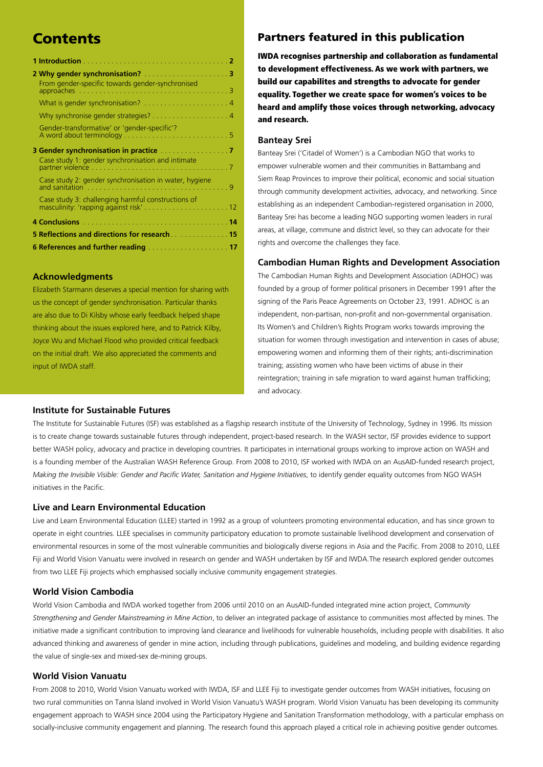| From gender-specific towards gender-synchronised       |  |
|--------------------------------------------------------|--|
|                                                        |  |
|                                                        |  |
| Gender-transformative' or 'gender-specific'?           |  |
|                                                        |  |
| Case study 1: gender synchronisation and intimate      |  |
| Case study 2: gender synchronisation in water, hygiene |  |
|                                                        |  |
|                                                        |  |
| 5 Reflections and directions for research. 15          |  |
|                                                        |  |

#### **Acknowledgments**

Elizabeth Starmann deserves a special mention for sharing with us the concept of gender synchronisation. Particular thanks are also due to Di Kilsby whose early feedback helped shape thinking about the issues explored here, and to Patrick Kilby, Joyce Wu and Michael Flood who provided critical feedback on the initial draft. We also appreciated the comments and input of IWDA staff.

#### **Institute for Sustainable Futures**

#### **Contents Partners featured in this publication**

IWDA recognises partnership and collaboration as fundamental to development effectiveness. As we work with partners, we build our capabilites and strengths to advocate for gender equality. Together we create space for women's voices to be heard and amplify those voices through networking, advocacy and research.

#### **Banteay Srei**

Banteay Srei ('Citadel of Women') is a Cambodian NGO that works to empower vulnerable women and their communities in Battambang and Siem Reap Provinces to improve their political, economic and social situation through community development activities, advocacy, and networking. Since establishing as an independent Cambodian-registered organisation in 2000, Banteay Srei has become a leading NGO supporting women leaders in rural areas, at village, commune and district level, so they can advocate for their rights and overcome the challenges they face.

#### **Cambodian Human Rights and Development Association**

The Cambodian Human Rights and Development Association (ADHOC) was founded by a group of former political prisoners in December 1991 after the signing of the Paris Peace Agreements on October 23, 1991. ADHOC is an independent, non-partisan, non-profit and non-governmental organisation. Its Women's and Children's Rights Program works towards improving the situation for women through investigation and intervention in cases of abuse; empowering women and informing them of their rights; anti-discrimination training; assisting women who have been victims of abuse in their reintegration; training in safe migration to ward against human trafficking; and advocacy.

The Institute for Sustainable Futures (ISF) was established as a flagship research institute of the University of Technology, Sydney in 1996. Its mission is to create change towards sustainable futures through independent, project-based research. In the WASH sector, ISF provides evidence to support better WASH policy, advocacy and practice in developing countries. It participates in international groups working to improve action on WASH and is a founding member of the Australian WASH Reference Group. From 2008 to 2010, ISF worked with IWDA on an AusAID-funded research project, *Making the Invisible Visible: Gender and Pacific Water, Sanitation and Hygiene Initiatives*, to identify gender equality outcomes from NGO WASH initiatives in the Pacific.

#### **Live and Learn Environmental Education**

Live and Learn Environmental Education (LLEE) started in 1992 as a group of volunteers promoting environmental education, and has since grown to operate in eight countries. LLEE specialises in community participatory education to promote sustainable livelihood development and conservation of environmental resources in some of the most vulnerable communities and biologically diverse regions in Asia and the Pacific. From 2008 to 2010, LLEE Fiji and World Vision Vanuatu were involved in research on gender and WASH undertaken by ISF and IWDA.The research explored gender outcomes from two LLEE Fiji projects which emphasised socially inclusive community engagement strategies.

#### **World Vision Cambodia**

World Vision Cambodia and IWDA worked together from 2006 until 2010 on an AusAID-funded integrated mine action project, *Community Strengthening and Gender Mainstreaming in Mine Action*, to deliver an integrated package of assistance to communities most affected by mines. The initiative made a significant contribution to improving land clearance and livelihoods for vulnerable households, including people with disabilities. It also advanced thinking and awareness of gender in mine action, including through publications, guidelines and modeling, and building evidence regarding the value of single-sex and mixed-sex de-mining groups.

#### **World Vision Vanuatu**

From 2008 to 2010, World Vision Vanuatu worked with IWDA, ISF and LLEE Fiji to investigate gender outcomes from WASH initiatives, focusing on two rural communities on Tanna Island involved in World Vision Vanuatu's WASH program. World Vision Vanuatu has been developing its community engagement approach to WASH since 2004 using the Participatory Hygiene and Sanitation Transformation methodology, with a particular emphasis on socially-inclusive community engagement and planning. The research found this approach played a critical role in achieving positive gender outcomes.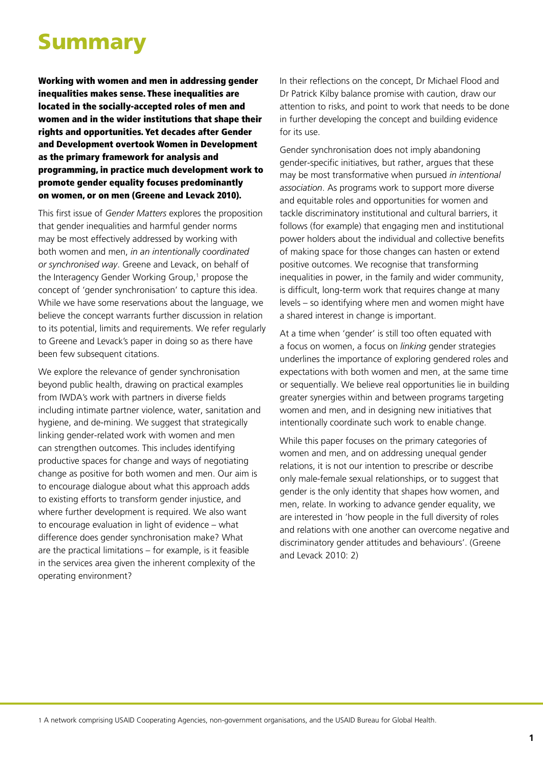## Summary

Working with women and men in addressing gender inequalities makes sense. These inequalities are located in the socially-accepted roles of men and women and in the wider institutions that shape their rights and opportunities. Yet decades after Gender and Development overtook Women in Development as the primary framework for analysis and programming, in practice much development work to promote gender equality focuses predominantly on women, or on men (Greene and Levack 2010).

This first issue of *Gender Matters* explores the proposition that gender inequalities and harmful gender norms may be most effectively addressed by working with both women and men, *in an intentionally coordinated or synchronised way*. Greene and Levack, on behalf of the Interagency Gender Working Group,<sup>1</sup> propose the concept of 'gender synchronisation' to capture this idea. While we have some reservations about the language, we believe the concept warrants further discussion in relation to its potential, limits and requirements. We refer regularly to Greene and Levack's paper in doing so as there have been few subsequent citations.

We explore the relevance of gender synchronisation beyond public health, drawing on practical examples from IWDA's work with partners in diverse fields including intimate partner violence, water, sanitation and hygiene, and de-mining. We suggest that strategically linking gender-related work with women and men can strengthen outcomes. This includes identifying productive spaces for change and ways of negotiating change as positive for both women and men. Our aim is to encourage dialogue about what this approach adds to existing efforts to transform gender injustice, and where further development is required. We also want to encourage evaluation in light of evidence – what difference does gender synchronisation make? What are the practical limitations – for example, is it feasible in the services area given the inherent complexity of the operating environment?

In their reflections on the concept, Dr Michael Flood and Dr Patrick Kilby balance promise with caution, draw our attention to risks, and point to work that needs to be done in further developing the concept and building evidence for its use.

Gender synchronisation does not imply abandoning gender-specific initiatives, but rather, argues that these may be most transformative when pursued *in intentional association*. As programs work to support more diverse and equitable roles and opportunities for women and tackle discriminatory institutional and cultural barriers, it follows (for example) that engaging men and institutional power holders about the individual and collective benefits of making space for those changes can hasten or extend positive outcomes. We recognise that transforming inequalities in power, in the family and wider community, is difficult, long-term work that requires change at many levels – so identifying where men and women might have a shared interest in change is important.

At a time when 'gender' is still too often equated with a focus on women, a focus on *linking* gender strategies underlines the importance of exploring gendered roles and expectations with both women and men, at the same time or sequentially. We believe real opportunities lie in building greater synergies within and between programs targeting women and men, and in designing new initiatives that intentionally coordinate such work to enable change.

While this paper focuses on the primary categories of women and men, and on addressing unequal gender relations, it is not our intention to prescribe or describe only male-female sexual relationships, or to suggest that gender is the only identity that shapes how women, and men, relate. In working to advance gender equality, we are interested in 'how people in the full diversity of roles and relations with one another can overcome negative and discriminatory gender attitudes and behaviours'. (Greene and Levack 2010: 2)

1 A network comprising USAID Cooperating Agencies, non-government organisations, and the USAID Bureau for Global Health.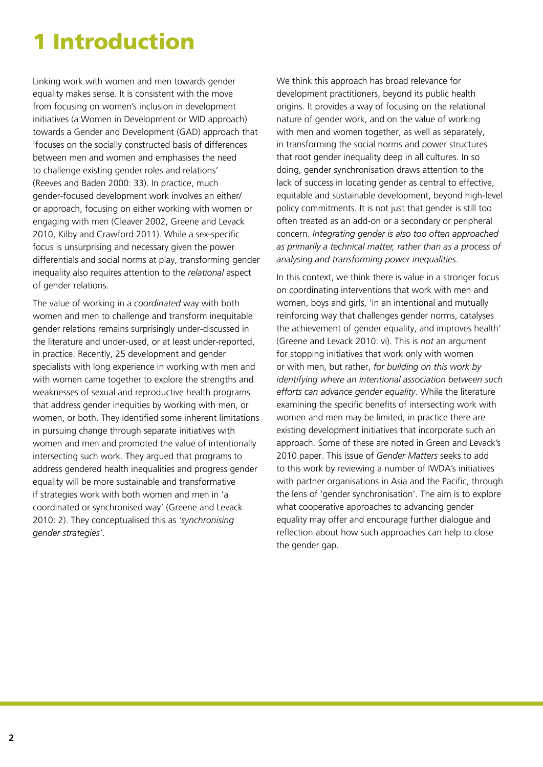## 1 Introduction

Linking work with women and men towards gender equality makes sense. It is consistent with the move from focusing on women's inclusion in development initiatives (a Women in Development or WID approach) towards a Gender and Development (GAD) approach that 'focuses on the socially constructed basis of differences between men and women and emphasises the need to challenge existing gender roles and relations' (Reeves and Baden 2000: 33). In practice, much gender-focused development work involves an either/ or approach, focusing on either working with women or engaging with men (Cleaver 2002, Greene and Levack 2010, Kilby and Crawford 2011). While a sex-specific focus is unsurprising and necessary given the power differentials and social norms at play, transforming gender inequality also requires attention to the *relational* aspect of gender relations.

The value of working in a *coordinated* way with both women and men to challenge and transform inequitable gender relations remains surprisingly under-discussed in the literature and under-used, or at least under-reported, in practice. Recently, 25 development and gender specialists with long experience in working with men and with women came together to explore the strengths and weaknesses of sexual and reproductive health programs that address gender inequities by working with men, or women, or both. They identified some inherent limitations in pursuing change through separate initiatives with women and men and promoted the value of intentionally intersecting such work. They argued that programs to address gendered health inequalities and progress gender equality will be more sustainable and transformative if strategies work with both women and men in 'a coordinated or synchronised way' (Greene and Levack 2010: 2). They conceptualised this as *'synchronising gender strategies'*.

We think this approach has broad relevance for development practitioners, beyond its public health origins. It provides a way of focusing on the relational nature of gender work, and on the value of working with men and women together, as well as separately, in transforming the social norms and power structures that root gender inequality deep in all cultures. In so doing, gender synchronisation draws attention to the lack of success in locating gender as central to effective, equitable and sustainable development, beyond high-level policy commitments. It is not just that gender is still too often treated as an add-on or a secondary or peripheral concern. *Integrating gender is also too often approached as primarily a technical matter, rather than as a process of analysing and transforming power inequalities*.

In this context, we think there is value in a stronger focus on coordinating interventions that work with men and women, boys and girls, 'in an intentional and mutually reinforcing way that challenges gender norms, catalyses the achievement of gender equality, and improves health' (Greene and Levack 2010: vi). This is *not* an argument for stopping initiatives that work only with women or with men, but rather, *for building on this work by identifying where an intentional association between such efforts can advance gender equality*. While the literature examining the specific benefits of intersecting work with women and men may be limited, in practice there are existing development initiatives that incorporate such an approach. Some of these are noted in Green and Levack's 2010 paper. This issue of *Gender Matters* seeks to add to this work by reviewing a number of IWDA's initiatives with partner organisations in Asia and the Pacific, through the lens of 'gender synchronisation'. The aim is to explore what cooperative approaches to advancing gender equality may offer and encourage further dialogue and reflection about how such approaches can help to close the gender gap.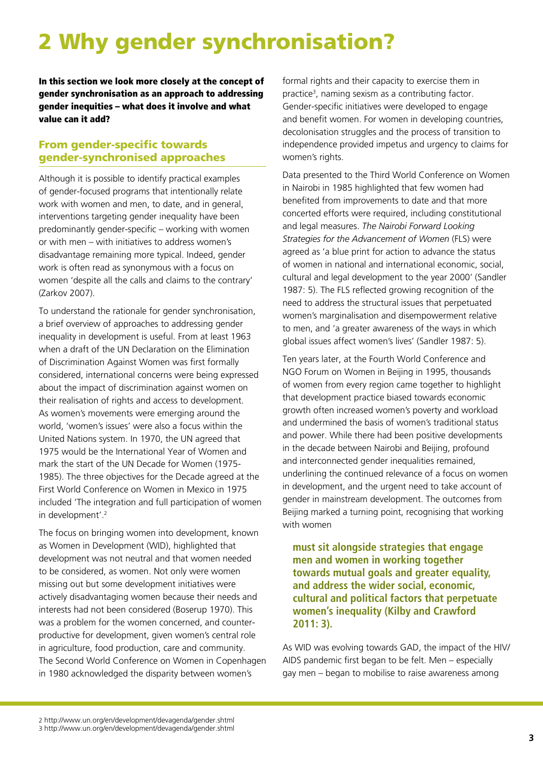## 2 Why gender synchronisation?

In this section we look more closely at the concept of gender synchronisation as an approach to addressing gender inequities – what does it involve and what value can it add?

#### From gender-specific towards gender-synchronised approaches

Although it is possible to identify practical examples of gender-focused programs that intentionally relate work with women and men, to date, and in general, interventions targeting gender inequality have been predominantly gender-specific – working with women or with men – with initiatives to address women's disadvantage remaining more typical. Indeed, gender work is often read as synonymous with a focus on women 'despite all the calls and claims to the contrary' (Zarkov 2007).

To understand the rationale for gender synchronisation, a brief overview of approaches to addressing gender inequality in development is useful. From at least 1963 when a draft of the UN Declaration on the Elimination of Discrimination Against Women was first formally considered, international concerns were being expressed about the impact of discrimination against women on their realisation of rights and access to development. As women's movements were emerging around the world, 'women's issues' were also a focus within the United Nations system. In 1970, the UN agreed that 1975 would be the International Year of Women and mark the start of the UN Decade for Women (1975- 1985). The three objectives for the Decade agreed at the First World Conference on Women in Mexico in 1975 included 'The integration and full participation of women in development'.2

The focus on bringing women into development, known as Women in Development (WID), highlighted that development was not neutral and that women needed to be considered, as women. Not only were women missing out but some development initiatives were actively disadvantaging women because their needs and interests had not been considered (Boserup 1970). This was a problem for the women concerned, and counterproductive for development, given women's central role in agriculture, food production, care and community. The Second World Conference on Women in Copenhagen in 1980 acknowledged the disparity between women's

formal rights and their capacity to exercise them in practice<sup>3</sup>, naming sexism as a contributing factor. Gender-specific initiatives were developed to engage and benefit women. For women in developing countries, decolonisation struggles and the process of transition to independence provided impetus and urgency to claims for women's rights.

Data presented to the Third World Conference on Women in Nairobi in 1985 highlighted that few women had benefited from improvements to date and that more concerted efforts were required, including constitutional and legal measures. *The Nairobi Forward Looking Strategies for the Advancement of Women* (FLS) were agreed as 'a blue print for action to advance the status of women in national and international economic, social, cultural and legal development to the year 2000' (Sandler 1987: 5). The FLS reflected growing recognition of the need to address the structural issues that perpetuated women's marginalisation and disempowerment relative to men, and 'a greater awareness of the ways in which global issues affect women's lives' (Sandler 1987: 5).

Ten years later, at the Fourth World Conference and NGO Forum on Women in Beijing in 1995, thousands of women from every region came together to highlight that development practice biased towards economic growth often increased women's poverty and workload and undermined the basis of women's traditional status and power. While there had been positive developments in the decade between Nairobi and Beijing, profound and interconnected gender inequalities remained, underlining the continued relevance of a focus on women in development, and the urgent need to take account of gender in mainstream development. The outcomes from Beijing marked a turning point, recognising that working with women

**must sit alongside strategies that engage men and women in working together towards mutual goals and greater equality, and address the wider social, economic, cultural and political factors that perpetuate women's inequality (Kilby and Crawford 2011: 3).**

As WID was evolving towards GAD, the impact of the HIV/ AIDS pandemic first began to be felt. Men – especially gay men – began to mobilise to raise awareness among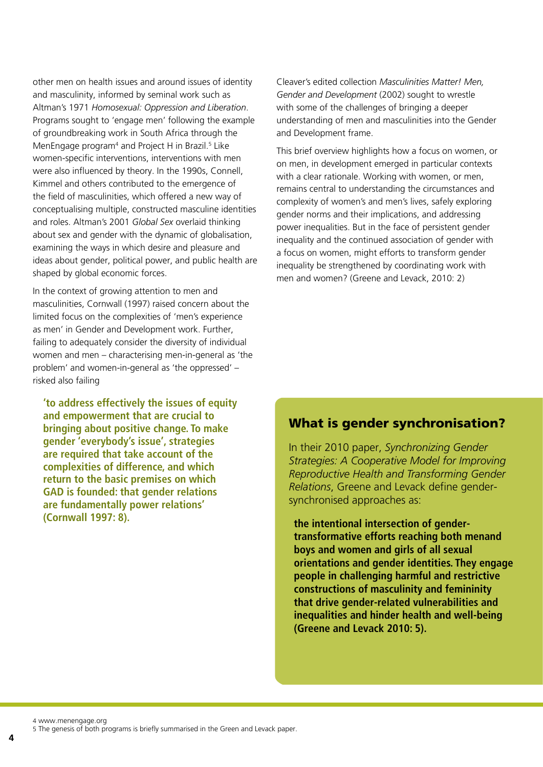other men on health issues and around issues of identity and masculinity, informed by seminal work such as Altman's 1971 *Homosexual: Oppression and Liberation*. Programs sought to 'engage men' following the example of groundbreaking work in South Africa through the MenEngage program<sup>4</sup> and Project H in Brazil.<sup>5</sup> Like women-specific interventions, interventions with men were also influenced by theory. In the 1990s, Connell, Kimmel and others contributed to the emergence of the field of masculinities, which offered a new way of conceptualising multiple, constructed masculine identities and roles. Altman's 2001 *Global Sex* overlaid thinking about sex and gender with the dynamic of globalisation, examining the ways in which desire and pleasure and ideas about gender, political power, and public health are shaped by global economic forces.

In the context of growing attention to men and masculinities, Cornwall (1997) raised concern about the limited focus on the complexities of 'men's experience as men' in Gender and Development work. Further, failing to adequately consider the diversity of individual women and men – characterising men-in-general as 'the problem' and women-in-general as 'the oppressed' – risked also failing

**'to address effectively the issues of equity and empowerment that are crucial to bringing about positive change. To make gender 'everybody's issue', strategies are required that take account of the complexities of difference, and which return to the basic premises on which GAD is founded: that gender relations are fundamentally power relations' (Cornwall 1997: 8).** 

Cleaver's edited collection *Masculinities Matter! Men, Gender and Development* (2002) sought to wrestle with some of the challenges of bringing a deeper understanding of men and masculinities into the Gender and Development frame.

This brief overview highlights how a focus on women, or on men, in development emerged in particular contexts with a clear rationale. Working with women, or men. remains central to understanding the circumstances and complexity of women's and men's lives, safely exploring gender norms and their implications, and addressing power inequalities. But in the face of persistent gender inequality and the continued association of gender with a focus on women, might efforts to transform gender inequality be strengthened by coordinating work with men and women? (Greene and Levack, 2010: 2)

#### What is gender synchronisation?

In their 2010 paper, *Synchronizing Gender Strategies: A Cooperative Model for Improving Reproductive Health and Transforming Gender Relations*, Greene and Levack define gendersynchronised approaches as:

**the intentional intersection of gendertransformative efforts reaching both menand boys and women and girls of all sexual orientations and gender identities. They engage people in challenging harmful and restrictive constructions of masculinity and femininity that drive gender-related vulnerabilities and inequalities and hinder health and well-being (Greene and Levack 2010: 5).** 

4 www.menengage.org

5 The genesis of both programs is briefly summarised in the Green and Levack paper.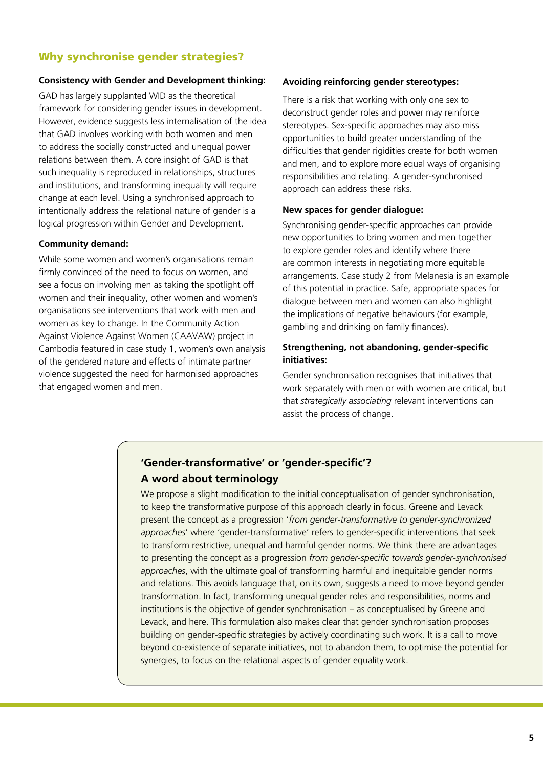#### Why synchronise gender strategies?

#### **Consistency with Gender and Development thinking:**

GAD has largely supplanted WID as the theoretical framework for considering gender issues in development. However, evidence suggests less internalisation of the idea that GAD involves working with both women and men to address the socially constructed and unequal power relations between them. A core insight of GAD is that such inequality is reproduced in relationships, structures and institutions, and transforming inequality will require change at each level. Using a synchronised approach to intentionally address the relational nature of gender is a logical progression within Gender and Development.

#### **Community demand:**

While some women and women's organisations remain firmly convinced of the need to focus on women, and see a focus on involving men as taking the spotlight off women and their inequality, other women and women's organisations see interventions that work with men and women as key to change. In the Community Action Against Violence Against Women (CAAVAW) project in Cambodia featured in case study 1, women's own analysis of the gendered nature and effects of intimate partner violence suggested the need for harmonised approaches that engaged women and men.

#### **Avoiding reinforcing gender stereotypes:**

There is a risk that working with only one sex to deconstruct gender roles and power may reinforce stereotypes. Sex-specific approaches may also miss opportunities to build greater understanding of the difficulties that gender rigidities create for both women and men, and to explore more equal ways of organising responsibilities and relating. A gender-synchronised approach can address these risks.

#### **New spaces for gender dialogue:**

Synchronising gender-specific approaches can provide new opportunities to bring women and men together to explore gender roles and identify where there are common interests in negotiating more equitable arrangements. Case study 2 from Melanesia is an example of this potential in practice. Safe, appropriate spaces for dialogue between men and women can also highlight the implications of negative behaviours (for example, gambling and drinking on family finances).

#### **Strengthening, not abandoning, gender-specific initiatives:**

Gender synchronisation recognises that initiatives that work separately with men or with women are critical, but that *strategically associating* relevant interventions can assist the process of change.

#### **'Gender-transformative' or 'gender-specific'? A word about terminology**

We propose a slight modification to the initial conceptualisation of gender synchronisation. to keep the transformative purpose of this approach clearly in focus. Greene and Levack present the concept as a progression '*from gender-transformative to gender-synchronized approaches*' where 'gender-transformative' refers to gender-specific interventions that seek to transform restrictive, unequal and harmful gender norms. We think there are advantages to presenting the concept as a progression *from gender-specific towards gender-synchronised approaches*, with the ultimate goal of transforming harmful and inequitable gender norms and relations. This avoids language that, on its own, suggests a need to move beyond gender transformation. In fact, transforming unequal gender roles and responsibilities, norms and institutions is the objective of gender synchronisation – as conceptualised by Greene and Levack, and here. This formulation also makes clear that gender synchronisation proposes building on gender-specific strategies by actively coordinating such work. It is a call to move beyond co-existence of separate initiatives, not to abandon them, to optimise the potential for synergies, to focus on the relational aspects of gender equality work.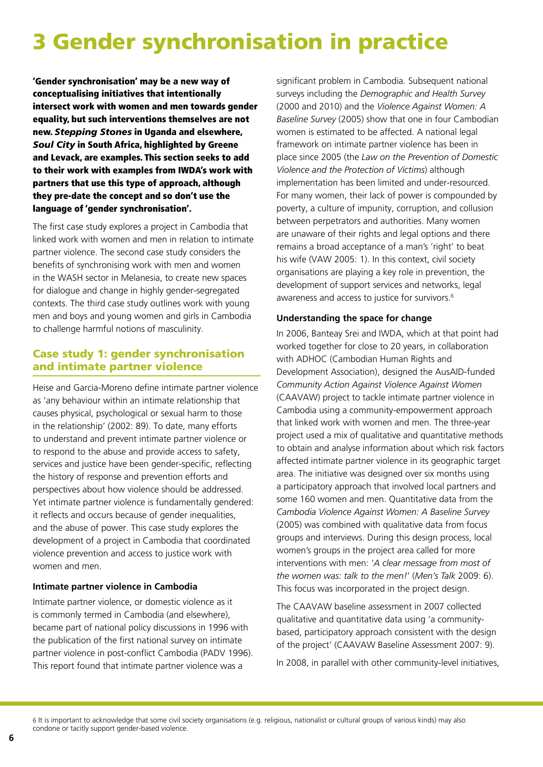## 3 Gender synchronisation in practice

'Gender synchronisation' may be a new way of conceptualising initiatives that intentionally intersect work with women and men towards gender equality, but such interventions themselves are not new. *Stepping Stones* in Uganda and elsewhere, *Soul City* in South Africa, highlighted by Greene and Levack, are examples. This section seeks to add to their work with examples from IWDA's work with partners that use this type of approach, although they pre-date the concept and so don't use the language of 'gender synchronisation'.

The first case study explores a project in Cambodia that linked work with women and men in relation to intimate partner violence. The second case study considers the benefits of synchronising work with men and women in the WASH sector in Melanesia, to create new spaces for dialogue and change in highly gender-segregated contexts. The third case study outlines work with young men and boys and young women and girls in Cambodia to challenge harmful notions of masculinity.

#### Case study 1: gender synchronisation and intimate partner violence

Heise and Garcia-Moreno define intimate partner violence as 'any behaviour within an intimate relationship that causes physical, psychological or sexual harm to those in the relationship' (2002: 89). To date, many efforts to understand and prevent intimate partner violence or to respond to the abuse and provide access to safety, services and justice have been gender-specific, reflecting the history of response and prevention efforts and perspectives about how violence should be addressed. Yet intimate partner violence is fundamentally gendered: it reflects and occurs because of gender inequalities, and the abuse of power. This case study explores the development of a project in Cambodia that coordinated violence prevention and access to justice work with women and men.

#### **Intimate partner violence in Cambodia**

Intimate partner violence, or domestic violence as it is commonly termed in Cambodia (and elsewhere), became part of national policy discussions in 1996 with the publication of the first national survey on intimate partner violence in post-conflict Cambodia (PADV 1996). This report found that intimate partner violence was a

significant problem in Cambodia. Subsequent national surveys including the *Demographic and Health Survey* (2000 and 2010) and the *Violence Against Women: A Baseline Survey* (2005) show that one in four Cambodian women is estimated to be affected. A national legal framework on intimate partner violence has been in place since 2005 (the *Law on the Prevention of Domestic Violence and the Protection of Victims*) although implementation has been limited and under-resourced. For many women, their lack of power is compounded by poverty, a culture of impunity, corruption, and collusion between perpetrators and authorities. Many women are unaware of their rights and legal options and there remains a broad acceptance of a man's 'right' to beat his wife (VAW 2005: 1). In this context, civil society organisations are playing a key role in prevention, the development of support services and networks, legal awareness and access to justice for survivors.<sup>6</sup>

#### **Understanding the space for change**

In 2006, Banteay Srei and IWDA, which at that point had worked together for close to 20 years, in collaboration with ADHOC (Cambodian Human Rights and Development Association), designed the AusAID-funded *Community Action Against Violence Against Women* (CAAVAW) project to tackle intimate partner violence in Cambodia using a community-empowerment approach that linked work with women and men. The three-year project used a mix of qualitative and quantitative methods to obtain and analyse information about which risk factors affected intimate partner violence in its geographic target area. The initiative was designed over six months using a participatory approach that involved local partners and some 160 women and men. Quantitative data from the *Cambodia Violence Against Women: A Baseline Survey* (2005) was combined with qualitative data from focus groups and interviews. During this design process, local women's groups in the project area called for more interventions with men: '*A clear message from most of the women was: talk to the men!*' (*Men's Talk* 2009: 6). This focus was incorporated in the project design.

The CAAVAW baseline assessment in 2007 collected qualitative and quantitative data using 'a communitybased, participatory approach consistent with the design of the project' (CAAVAW Baseline Assessment 2007: 9).

In 2008, in parallel with other community-level initiatives,

<sup>6</sup> It is important to acknowledge that some civil society organisations (e.g. religious, nationalist or cultural groups of various kinds) may also condone or tacitly support gender-based violence.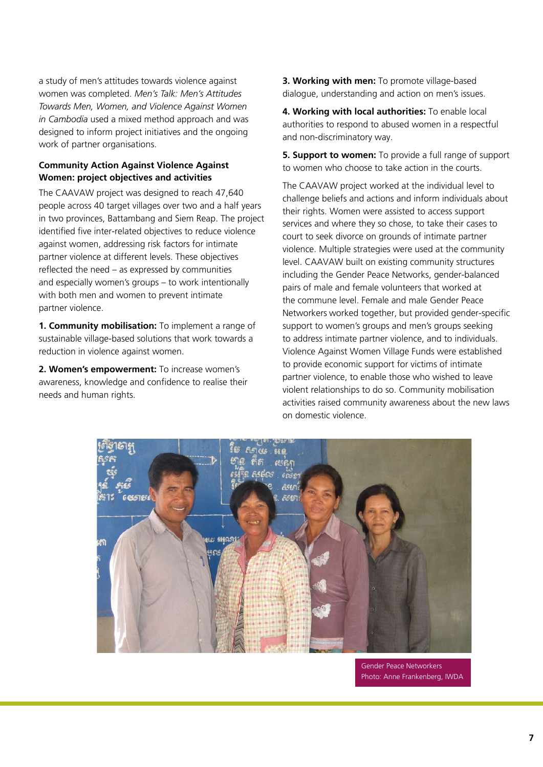a study of men's attitudes towards violence against women was completed. *Men's Talk: Men's Attitudes Towards Men, Women, and Violence Against Women in Cambodia* used a mixed method approach and was designed to inform project initiatives and the ongoing work of partner organisations.

#### **Community Action Against Violence Against Women: project objectives and activities**

The CAAVAW project was designed to reach 47,640 people across 40 target villages over two and a half years in two provinces, Battambang and Siem Reap. The project identified five inter-related objectives to reduce violence against women, addressing risk factors for intimate partner violence at different levels. These objectives reflected the need – as expressed by communities and especially women's groups – to work intentionally with both men and women to prevent intimate partner violence.

**1. Community mobilisation:** To implement a range of sustainable village-based solutions that work towards a reduction in violence against women.

**2. Women's empowerment:** To increase women's awareness, knowledge and confidence to realise their needs and human rights.

**3. Working with men:** To promote village-based dialogue, understanding and action on men's issues.

**4. Working with local authorities:** To enable local authorities to respond to abused women in a respectful and non-discriminatory way.

**5. Support to women:** To provide a full range of support to women who choose to take action in the courts.

The CAAVAW project worked at the individual level to challenge beliefs and actions and inform individuals about their rights. Women were assisted to access support services and where they so chose, to take their cases to court to seek divorce on grounds of intimate partner violence. Multiple strategies were used at the community level. CAAVAW built on existing community structures including the Gender Peace Networks, gender-balanced pairs of male and female volunteers that worked at the commune level. Female and male Gender Peace Networkers worked together, but provided gender-specific support to women's groups and men's groups seeking to address intimate partner violence, and to individuals. Violence Against Women Village Funds were established to provide economic support for victims of intimate partner violence, to enable those who wished to leave violent relationships to do so. Community mobilisation activities raised community awareness about the new laws on domestic violence.



Gender Peace Networkers Photo: Anne Frankenberg, IWDA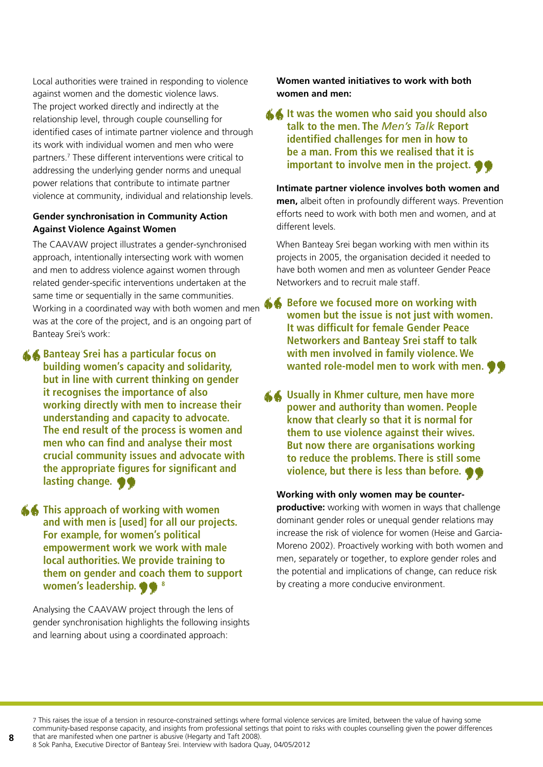Local authorities were trained in responding to violence against women and the domestic violence laws. The project worked directly and indirectly at the relationship level, through couple counselling for identified cases of intimate partner violence and through its work with individual women and men who were partners.7 These different interventions were critical to addressing the underlying gender norms and unequal power relations that contribute to intimate partner violence at community, individual and relationship levels.

#### **Gender synchronisation in Community Action Against Violence Against Women**

The CAAVAW project illustrates a gender-synchronised approach, intentionally intersecting work with women and men to address violence against women through related gender-specific interventions undertaken at the same time or sequentially in the same communities. was at the core of the project, and is an ongoing part of Banteay Srei's work:

**Banteay Srei has a particular focus on building women's capacity and solidarity, but in line with current thinking on gender it recognises the importance of also working directly with men to increase their understanding and capacity to advocate. The end result of the process is women and men who can find and analyse their most crucial community issues and advocate with the appropriate figures for significant and ""** 

**lasting change.**<br>This approach of wo<br>and with men is [use<br>For example, for wo **This approach of working with women<br>
and with men is [used] for all our proje<br>
For example, for women's political<br>
empowerment work we work with mal<br>
local authorities. We provide training to and with men is [used] for all our projects. For example, for women's political empowerment work we work with male local authorities. We provide training to them on gender and coach them to support women's leadership.**  $\bullet$   $\bullet$  <sup>8</sup>

Analysing the CAAVAW project through the lens of gender synchronisation highlights the following insights and learning about using a coordinated approach: 99<sup>8</sup><br>oject thro<br>hlights the coordina

**Women wanted initiatives to work with both women and men:** 

**It was the women who said you should also**<br>
talk to the men. The *Men's Talk* Report<br>
identified challenges for men in how to<br>
be a man. From this we realised that it is<br>
important to involve men in the project. **talk to the men. The** *Men's Talk* **Report identified challenges for men in how to be a man. From this we realised that it is** 

**important to involve men in the project.**<br> **Computed timate partner violence involves both women aren,**<br> **albeit often in profoundly different ways. Prevent**<br> **orts need to work with both men and women, and a Intimate partner violence involves both women and men,** albeit often in profoundly different ways. Prevention efforts need to work with both men and women, and at different levels.

When Banteay Srei began working with men within its projects in 2005, the organisation decided it needed to have both women and men as volunteer Gender Peace Networkers and to recruit male staff.

Same time or sequentially in the same communities.<br>
Working in a coordinated way with both women and men<br>
was at the core of the project, and is an ongoing part of<br>
Banteay Srei's work:<br> **Banteay Srei has a particular focu women but the issue is not just with women. It was difficult for female Gender Peace Networkers and Banteay Srei staff to talk with men involved in family violence. We** 

wanted role-model men to work with men.<br> **Wanted role-model men to work with men.**<br> **Wanter with the University of the University of the University South Anders Constant**<br> **Example 2014**<br> **Example 18 You with the Universit 4 Usually in Khmer culture, men have more power and authority than women. People know that clearly so that it is normal for them to use violence against their wives.<br>But now there are organisations working power and authority than women. People know that clearly so that it is normal for them to use violence against their wives. But now there are organisations working to reduce the problems. There is still some** 

#### **Working with only women may be counter-**

**violence, but there is less than before.**<br> **orking with only women may be counter-<br>
poductive:** working with women in ways that challe<br>
minant gender roles or unequal gender relations m **productive:** working with women in ways that challenge dominant gender roles or unequal gender relations may increase the risk of violence for women (Heise and Garcia-Moreno 2002). Proactively working with both women and men, separately or together, to explore gender roles and the potential and implications of change, can reduce risk by creating a more conducive environment.

7 This raises the issue of a tension in resource-constrained settings where formal violence services are limited, between the value of having some community-based response capacity, and insights from professional settings that point to risks with couples counselling given the power differences that are manifested when one partner is abusive (Hegarty and Taft 2008).

8 Sok Panha, Executive Director of Banteay Srei. Interview with Isadora Quay, 04/05/2012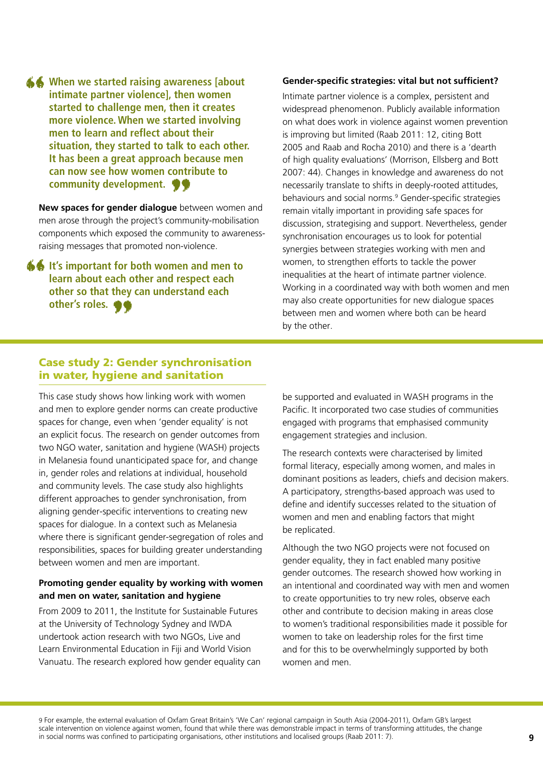When we started raising awareness [about intimate partner violence], then women started to challenge men, then it creates more violence. When we started involving men to learn and reflect about their **intimate partner violence], then women started to challenge men, then it creates more violence. When we started involving men to learn and reflect about their situation, they started to talk to each other. It has been a great approach because men can now see how women contribute to** 

**community development.**<br>
We spaces for gender dialogue between arose through the project's comm<br>
mponents which exposed the comm **New spaces for gender dialogue** between women and men arose through the project's community-mobilisation components which exposed the community to awarenessraising messages that promoted non-violence.

**It's important for both women and men to**<br>
learn about each other and respect each<br>
other so that they can understand each<br>
other's roles. **learn about each other and respect each other so that they can understand each other's roles.** "

#### **Gender-specific strategies: vital but not sufficient?**

Intimate partner violence is a complex, persistent and widespread phenomenon. Publicly available information on what does work in violence against women prevention is improving but limited (Raab 2011: 12, citing Bott 2005 and Raab and Rocha 2010) and there is a 'dearth of high quality evaluations' (Morrison, Ellsberg and Bott 2007: 44). Changes in knowledge and awareness do not necessarily translate to shifts in deeply-rooted attitudes, behaviours and social norms.<sup>9</sup> Gender-specific strategies remain vitally important in providing safe spaces for discussion, strategising and support. Nevertheless, gender synchronisation encourages us to look for potential synergies between strategies working with men and women, to strengthen efforts to tackle the power inequalities at the heart of intimate partner violence. Working in a coordinated way with both women and men may also create opportunities for new dialogue spaces between men and women where both can be heard by the other.

#### Case study 2: Gender synchronisation in water, hygiene and sanitation

This case study shows how linking work with women and men to explore gender norms can create productive spaces for change, even when 'gender equality' is not an explicit focus. The research on gender outcomes from two NGO water, sanitation and hygiene (WASH) projects in Melanesia found unanticipated space for, and change in, gender roles and relations at individual, household and community levels. The case study also highlights different approaches to gender synchronisation, from aligning gender-specific interventions to creating new spaces for dialogue. In a context such as Melanesia where there is significant gender-segregation of roles and responsibilities, spaces for building greater understanding between women and men are important.

#### **Promoting gender equality by working with women and men on water, sanitation and hygiene**

From 2009 to 2011, the Institute for Sustainable Futures at the University of Technology Sydney and IWDA undertook action research with two NGOs, Live and Learn Environmental Education in Fiji and World Vision Vanuatu. The research explored how gender equality can be supported and evaluated in WASH programs in the Pacific. It incorporated two case studies of communities engaged with programs that emphasised community engagement strategies and inclusion.

The research contexts were characterised by limited formal literacy, especially among women, and males in dominant positions as leaders, chiefs and decision makers. A participatory, strengths-based approach was used to define and identify successes related to the situation of women and men and enabling factors that might be replicated.

Although the two NGO projects were not focused on gender equality, they in fact enabled many positive gender outcomes. The research showed how working in an intentional and coordinated way with men and women to create opportunities to try new roles, observe each other and contribute to decision making in areas close to women's traditional responsibilities made it possible for women to take on leadership roles for the first time and for this to be overwhelmingly supported by both women and men.

9 For example, the external evaluation of Oxfam Great Britain's 'We Can' regional campaign in South Asia (2004-2011), Oxfam GB's largest scale intervention on violence against women, found that while there was demonstrable impact in terms of transforming attitudes, the change in social norms was confined to participating organisations, other institutions and localised groups (Raab 2011: 7).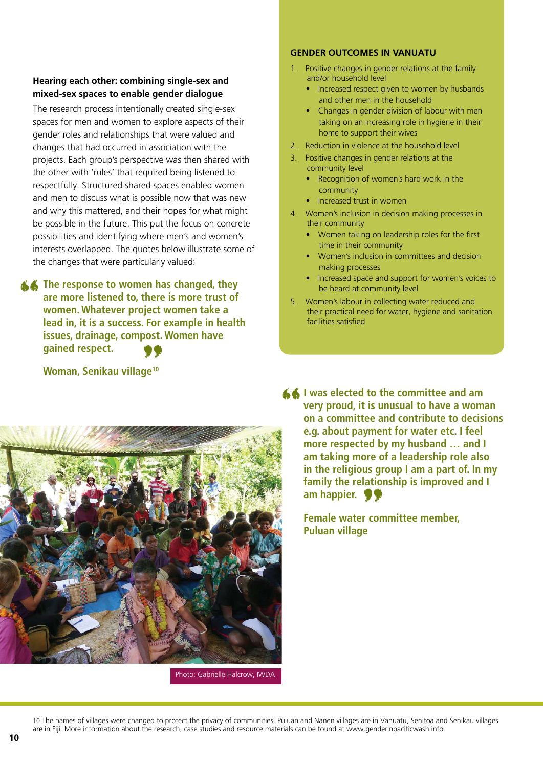#### **Hearing each other: combining single-sex and mixed-sex spaces to enable gender dialogue**

The research process intentionally created single-sex spaces for men and women to explore aspects of their gender roles and relationships that were valued and changes that had occurred in association with the projects. Each group's perspective was then shared with the other with 'rules' that required being listened to respectfully. Structured shared spaces enabled women and men to discuss what is possible now that was new and why this mattered, and their hopes for what might be possible in the future. This put the focus on concrete possibilities and identifying where men's and women's interests overlapped. The quotes below illustrate some of the changes that were particularly valued:

**The response to women has changed, they** are more listened to, there is more trust of women. Whatever project women take a lead in, it is a success. For example in healt issues, drainage, compost. Women have **are more listened to, there is more trust of women. Whatever project women take a lead in, it is a success. For example in health issues, drainage, compost. Women have gained respect. 99**<br>ge<sup>10</sup>

#### **Woman, Senikau village10**

#### **GENDER OUTCOMES IN VANUATU**

- 1. Positive changes in gender relations at the family and/or household level
	- Increased respect given to women by husbands and other men in the household
	- Changes in gender division of labour with men taking on an increasing role in hygiene in their home to support their wives
- 2. Reduction in violence at the household level
- 3. Positive changes in gender relations at the community level
	- Recognition of women's hard work in the community
	- Increased trust in women
- 4. Women's inclusion in decision making processes in their community
	- Women taking on leadership roles for the first time in their community
	- Women's inclusion in committees and decision making processes
	- Increased space and support for women's voices to be heard at community level
- 5. Women's labour in collecting water reduced and their practical need for water, hygiene and sanitation facilities satisfied



Photo: Gabrielle Halcrow, IWDA

**1** was elected to the committee and am<br>very proud, it is unusual to have a wom<br>on a committee and contribute to decis<br>e.g. about payment for water etc. I feel<br>more respected by my husband ... and I **very proud, it is unusual to have a woman on a committee and contribute to decisions e.g. about payment for water etc. I feel more respected by my husband … and I am taking more of a leadership role also in the religious group I am a part of. In my family the relationship is improved and I am happier.** 

**99**<br>"" core **Female water committee member, Puluan village**

10 The names of villages were changed to protect the privacy of communities. Puluan and Nanen villages are in Vanuatu, Senitoa and Senikau villages are in Fiji. More information about the research, case studies and resource materials can be found at www.genderinpacificwash.info.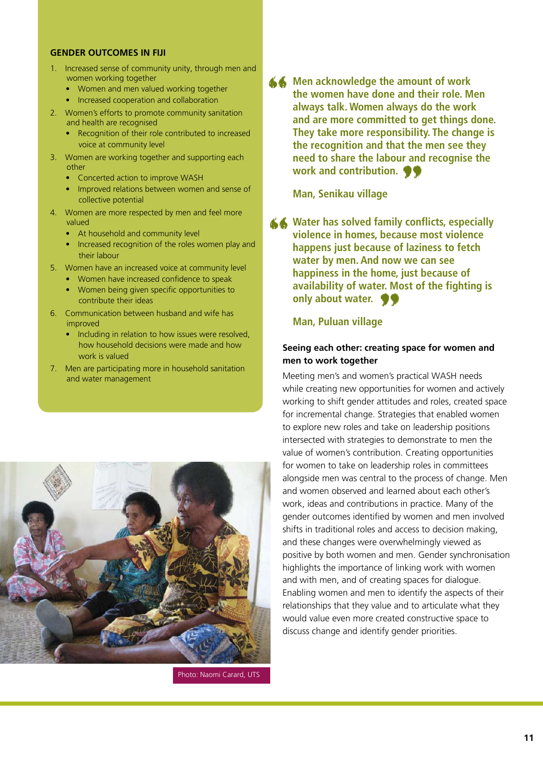#### **GENDER OUTCOMES IN FIJI**

- 1. Increased sense of community unity, through men and women working together
	- Women and men valued working together
	- Increased cooperation and collaboration
- 2. Women's efforts to promote community sanitation and health are recognised
	- Recognition of their role contributed to increased voice at community level
- 3. Women are working together and supporting each other
	- Concerted action to improve WASH
	- Improved relations between women and sense of collective potential
- 4. Women are more respected by men and feel more valued
	- At household and community level
	- increased recognition of the roles women play and their labour
- 5. Women have an increased voice at community level
	- women have increased confidence to speak
	- women being given specific opportunities to contribute their ideas
- 6. Communication between husband and wife has improved
	- Including in relation to how issues were resolved, how household decisions were made and how work is valued
- 7. Men are participating more in household sanitation and water management



Photo: Naomi Carard, UTS

**46** Men acknowledge the amount of work<br>the women have done and their role. M<br>always talk. Women always do the work<br>and are more committed to get things of<br>They take more responsibility. The chan **the women have done and their role. Men always talk. Women always do the work and are more committed to get things done. They take more responsibility. The change is the recognition and that the men see they need to share the labour and recognise the**  work and contribution.<br>"Wan, Senikau village<br>"Water has solved family con

#### **Man, Senikau village**

Water has solved family conflicts, especially violence in homes, because most violence happens just because of laziness to fetch water by men. And now we can see happiness in the home, just because of **violence in homes, because most violence happens just because of laziness to fetch water by men. And now we can see happiness in the home, just because of availability of water. Most of the fighting is**  only about water.<br>Man, Puluan village<br>eing each other: creating

#### **Man, Puluan village**

#### **Seeing each other: creating space for women and men to work together**

Meeting men's and women's practical WASH needs while creating new opportunities for women and actively working to shift gender attitudes and roles, created space for incremental change. Strategies that enabled women to explore new roles and take on leadership positions intersected with strategies to demonstrate to men the value of women's contribution. Creating opportunities for women to take on leadership roles in committees alongside men was central to the process of change. Men and women observed and learned about each other's work, ideas and contributions in practice. Many of the gender outcomes identified by women and men involved shifts in traditional roles and access to decision making, and these changes were overwhelmingly viewed as positive by both women and men. Gender synchronisation highlights the importance of linking work with women and with men, and of creating spaces for dialogue. Enabling women and men to identify the aspects of their relationships that they value and to articulate what they would value even more created constructive space to discuss change and identify gender priorities.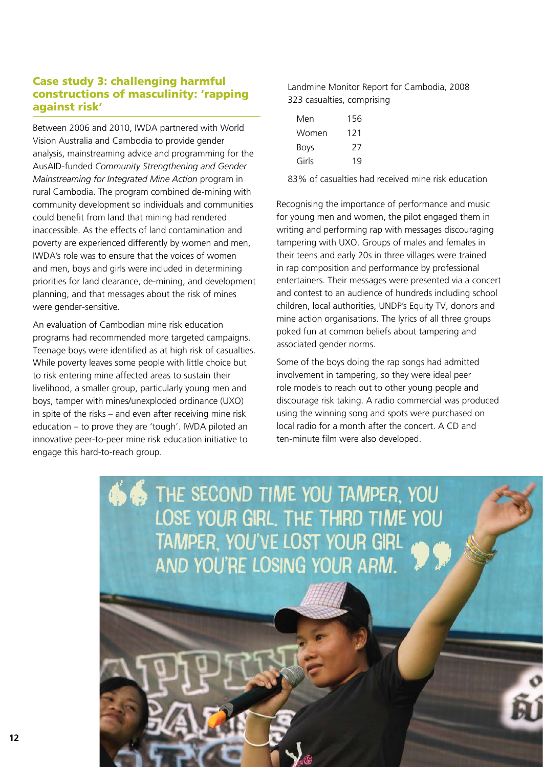#### Case study 3: challenging harmful constructions of masculinity: 'rapping against risk'

Between 2006 and 2010, IWDA partnered with World Vision Australia and Cambodia to provide gender analysis, mainstreaming advice and programming for the AusAID-funded *Community Strengthening and Gender Mainstreaming for Integrated Mine Action* program in rural Cambodia. The program combined de-mining with community development so individuals and communities could benefit from land that mining had rendered inaccessible. As the effects of land contamination and poverty are experienced differently by women and men, IWDA's role was to ensure that the voices of women and men, boys and girls were included in determining priorities for land clearance, de-mining, and development planning, and that messages about the risk of mines were gender-sensitive.

An evaluation of Cambodian mine risk education programs had recommended more targeted campaigns. Teenage boys were identified as at high risk of casualties. While poverty leaves some people with little choice but to risk entering mine affected areas to sustain their livelihood, a smaller group, particularly young men and boys, tamper with mines/unexploded ordinance (UXO) in spite of the risks – and even after receiving mine risk education – to prove they are 'tough'. IWDA piloted an innovative peer-to-peer mine risk education initiative to engage this hard-to-reach group.

Landmine Monitor Report for Cambodia, 2008 323 casualties, comprising

| Men   | 156 |
|-------|-----|
| Women | 121 |
| Boys  | 21  |
| Girls | 19  |

83% of casualties had received mine risk education

Recognising the importance of performance and music for young men and women, the pilot engaged them in writing and performing rap with messages discouraging tampering with UXO. Groups of males and females in their teens and early 20s in three villages were trained in rap composition and performance by professional entertainers. Their messages were presented via a concert and contest to an audience of hundreds including school children, local authorities, UNDP's Equity TV, donors and mine action organisations. The lyrics of all three groups poked fun at common beliefs about tampering and associated gender norms.

Some of the boys doing the rap songs had admitted involvement in tampering, so they were ideal peer role models to reach out to other young people and discourage risk taking. A radio commercial was produced using the winning song and spots were purchased on local radio for a month after the concert. A CD and ten-minute film were also developed.

LOSE YOUR GIRL. THE THIRD TIME YOU The second time you tamper, you tamper, you've lost your girl and you're losing your arm. " **66**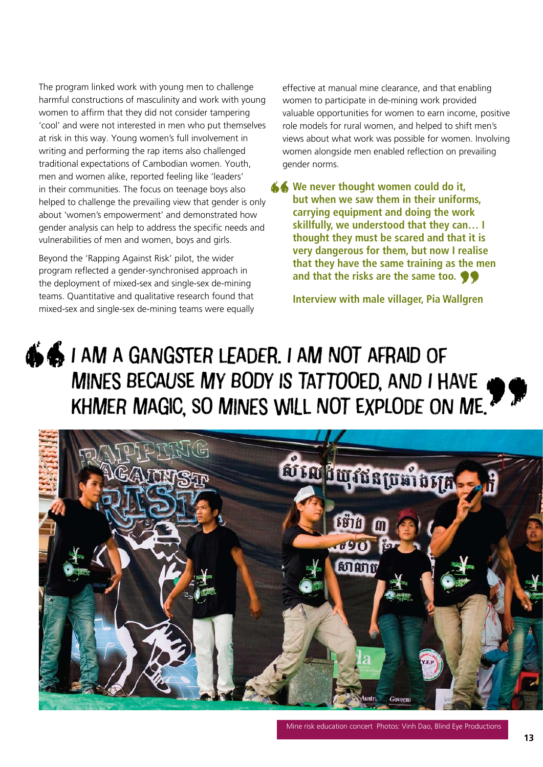The program linked work with young men to challenge harmful constructions of masculinity and work with young women to affirm that they did not consider tampering 'cool' and were not interested in men who put themselves at risk in this way. Young women's full involvement in writing and performing the rap items also challenged traditional expectations of Cambodian women. Youth, men and women alike, reported feeling like 'leaders' in their communities. The focus on teenage boys also helped to challenge the prevailing view that gender is only about 'women's empowerment' and demonstrated how gender analysis can help to address the specific needs and vulnerabilities of men and women, boys and girls.

Beyond the 'Rapping Against Risk' pilot, the wider program reflected a gender-synchronised approach in the deployment of mixed-sex and single-sex de-mining teams. Quantitative and qualitative research found that mixed-sex and single-sex de-mining teams were equally effective at manual mine clearance, and that enabling women to participate in de-mining work provided valuable opportunities for women to earn income, positive role models for rural women, and helped to shift men's views about what work was possible for women. Involving women alongside men enabled reflection on prevailing gender norms.

**We never thought women could do it, but when we saw them in their uniforms, carrying equipment and doing the work skillfully, we understood that they can… I thought they must be scared and that it is very dangerous for them, but now I realise that they have the same training as the men and that the risks are the same too. 99**<br>Ilgre **""** 

**Interview with male villager, Pia Wallgren**

# I am a gangster leader. I am not afraid of mines because my body is tattooed, and I have Khmer magic, so mines will not explode on me. **44**

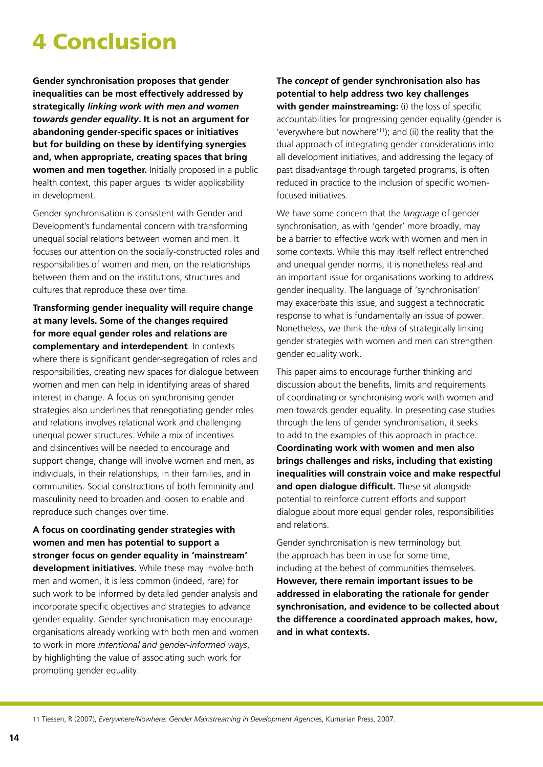## 4 Conclusion

**Gender synchronisation proposes that gender inequalities can be most effectively addressed by strategically** *linking work with men and women towards gender equality***. It is not an argument for abandoning gender-specific spaces or initiatives but for building on these by identifying synergies and, when appropriate, creating spaces that bring women and men together.** Initially proposed in a public health context, this paper argues its wider applicability in development.

Gender synchronisation is consistent with Gender and Development's fundamental concern with transforming unequal social relations between women and men. It focuses our attention on the socially-constructed roles and responsibilities of women and men, on the relationships between them and on the institutions, structures and cultures that reproduce these over time.

**Transforming gender inequality will require change at many levels. Some of the changes required for more equal gender roles and relations are complementary and interdependent**. In contexts where there is significant gender-segregation of roles and responsibilities, creating new spaces for dialogue between women and men can help in identifying areas of shared interest in change. A focus on synchronising gender strategies also underlines that renegotiating gender roles and relations involves relational work and challenging unequal power structures. While a mix of incentives and disincentives will be needed to encourage and support change, change will involve women and men, as individuals, in their relationships, in their families, and in communities. Social constructions of both femininity and masculinity need to broaden and loosen to enable and reproduce such changes over time.

**A focus on coordinating gender strategies with women and men has potential to support a stronger focus on gender equality in 'mainstream' development initiatives.** While these may involve both men and women, it is less common (indeed, rare) for such work to be informed by detailed gender analysis and incorporate specific objectives and strategies to advance gender equality. Gender synchronisation may encourage organisations already working with both men and women to work in more *intentional and gender-informed ways*, by highlighting the value of associating such work for promoting gender equality.

**The** *concept* **of gender synchronisation also has potential to help address two key challenges with gender mainstreaming:** (i) the loss of specific accountabilities for progressing gender equality (gender is 'everywhere but nowhere'11); and (ii) the reality that the dual approach of integrating gender considerations into all development initiatives, and addressing the legacy of past disadvantage through targeted programs, is often reduced in practice to the inclusion of specific womenfocused initiatives.

We have some concern that the *language* of gender synchronisation, as with 'gender' more broadly, may be a barrier to effective work with women and men in some contexts. While this may itself reflect entrenched and unequal gender norms, it is nonetheless real and an important issue for organisations working to address gender inequality. The language of 'synchronisation' may exacerbate this issue, and suggest a technocratic response to what is fundamentally an issue of power. Nonetheless, we think the *idea* of strategically linking gender strategies with women and men can strengthen gender equality work.

This paper aims to encourage further thinking and discussion about the benefits, limits and requirements of coordinating or synchronising work with women and men towards gender equality. In presenting case studies through the lens of gender synchronisation, it seeks to add to the examples of this approach in practice. **Coordinating work with women and men also brings challenges and risks, including that existing inequalities will constrain voice and make respectful and open dialogue difficult.** These sit alongside potential to reinforce current efforts and support dialogue about more equal gender roles, responsibilities and relations.

Gender synchronisation is new terminology but the approach has been in use for some time, including at the behest of communities themselves. **However, there remain important issues to be addressed in elaborating the rationale for gender synchronisation, and evidence to be collected about the difference a coordinated approach makes, how, and in what contexts.**

11 Tiessen, R (2007), *Everywhere/Nowhere: Gender Mainstreaming in Development Agencies*, Kumarian Press, 2007.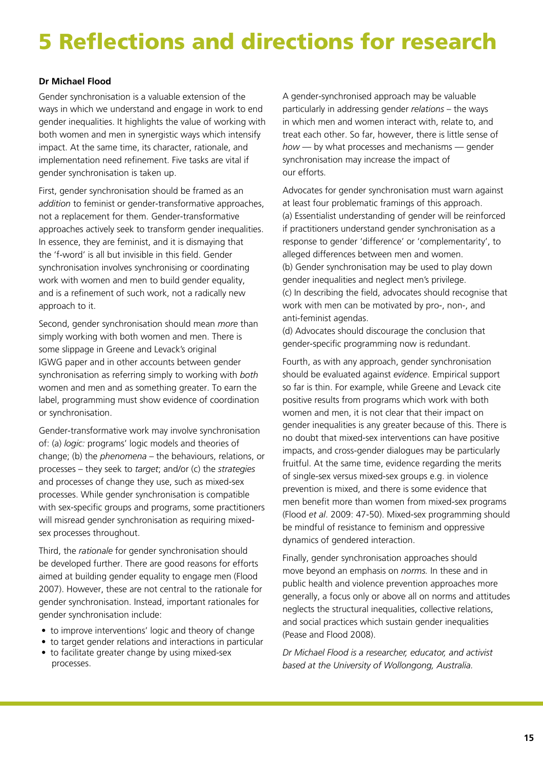## 5 Reflections and directions for research

#### **Dr Michael Flood**

Gender synchronisation is a valuable extension of the ways in which we understand and engage in work to end gender inequalities. It highlights the value of working with both women and men in synergistic ways which intensify impact. At the same time, its character, rationale, and implementation need refinement. Five tasks are vital if gender synchronisation is taken up.

First, gender synchronisation should be framed as an *addition* to feminist or gender-transformative approaches, not a replacement for them. Gender-transformative approaches actively seek to transform gender inequalities. In essence, they are feminist, and it is dismaying that the 'f-word' is all but invisible in this field. Gender synchronisation involves synchronising or coordinating work with women and men to build gender equality, and is a refinement of such work, not a radically new approach to it.

Second, gender synchronisation should mean *more* than simply working with both women and men. There is some slippage in Greene and Levack's original IGWG paper and in other accounts between gender synchronisation as referring simply to working with *both* women and men and as something greater. To earn the label, programming must show evidence of coordination or synchronisation.

Gender-transformative work may involve synchronisation of: (a) *logic:* programs' logic models and theories of change; (b) the *phenomena* – the behaviours, relations, or processes – they seek to *target*; and/or (c) the *strategies* and processes of change they use, such as mixed-sex processes. While gender synchronisation is compatible with sex-specific groups and programs, some practitioners will misread gender synchronisation as requiring mixedsex processes throughout.

Third, the *rationale* for gender synchronisation should be developed further. There are good reasons for efforts aimed at building gender equality to engage men (Flood 2007). However, these are not central to the rationale for gender synchronisation. Instead, important rationales for gender synchronisation include:

- to improve interventions' logic and theory of change
- to target gender relations and interactions in particular • to facilitate greater change by using mixed-sex
- processes.

A gender-synchronised approach may be valuable particularly in addressing gender *relations* – the ways in which men and women interact with, relate to, and treat each other. So far, however, there is little sense of *how* — by what processes and mechanisms — gender synchronisation may increase the impact of our efforts.

Advocates for gender synchronisation must warn against at least four problematic framings of this approach. (a) Essentialist understanding of gender will be reinforced if practitioners understand gender synchronisation as a response to gender 'difference' or 'complementarity', to alleged differences between men and women. (b) Gender synchronisation may be used to play down gender inequalities and neglect men's privilege. (c) In describing the field, advocates should recognise that work with men can be motivated by pro-, non-, and anti-feminist agendas.

(d) Advocates should discourage the conclusion that gender-specific programming now is redundant.

Fourth, as with any approach, gender synchronisation should be evaluated against *evidence*. Empirical support so far is thin. For example, while Greene and Levack cite positive results from programs which work with both women and men, it is not clear that their impact on gender inequalities is any greater because of this. There is no doubt that mixed-sex interventions can have positive impacts, and cross-gender dialogues may be particularly fruitful. At the same time, evidence regarding the merits of single-sex versus mixed-sex groups e.g. in violence prevention is mixed, and there is some evidence that men benefit more than women from mixed-sex programs (Flood *et al*. 2009: 47-50). Mixed-sex programming should be mindful of resistance to feminism and oppressive dynamics of gendered interaction.

Finally, gender synchronisation approaches should move beyond an emphasis on *norms.* In these and in public health and violence prevention approaches more generally, a focus only or above all on norms and attitudes neglects the structural inequalities, collective relations, and social practices which sustain gender inequalities (Pease and Flood 2008).

*Dr Michael Flood is a researcher, educator, and activist based at the University of Wollongong, Australia.*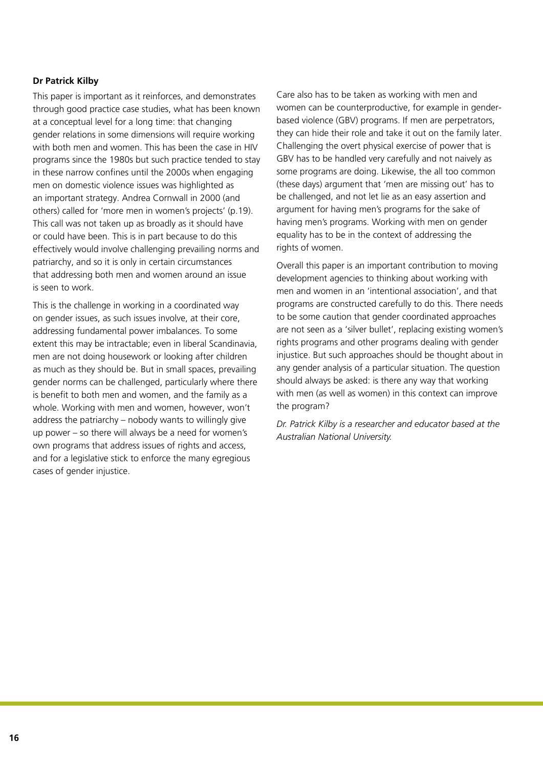#### **Dr Patrick Kilby**

This paper is important as it reinforces, and demonstrates through good practice case studies, what has been known at a conceptual level for a long time: that changing gender relations in some dimensions will require working with both men and women. This has been the case in HIV programs since the 1980s but such practice tended to stay in these narrow confines until the 2000s when engaging men on domestic violence issues was highlighted as an important strategy. Andrea Cornwall in 2000 (and others) called for 'more men in women's projects' (p.19). This call was not taken up as broadly as it should have or could have been. This is in part because to do this effectively would involve challenging prevailing norms and patriarchy, and so it is only in certain circumstances that addressing both men and women around an issue is seen to work.

This is the challenge in working in a coordinated way on gender issues, as such issues involve, at their core, addressing fundamental power imbalances. To some extent this may be intractable; even in liberal Scandinavia, men are not doing housework or looking after children as much as they should be. But in small spaces, prevailing gender norms can be challenged, particularly where there is benefit to both men and women, and the family as a whole. Working with men and women, however, won't address the patriarchy – nobody wants to willingly give up power – so there will always be a need for women's own programs that address issues of rights and access, and for a legislative stick to enforce the many egregious cases of gender injustice.

Care also has to be taken as working with men and women can be counterproductive, for example in genderbased violence (GBV) programs. If men are perpetrators, they can hide their role and take it out on the family later. Challenging the overt physical exercise of power that is GBV has to be handled very carefully and not naively as some programs are doing. Likewise, the all too common (these days) argument that 'men are missing out' has to be challenged, and not let lie as an easy assertion and argument for having men's programs for the sake of having men's programs. Working with men on gender equality has to be in the context of addressing the rights of women.

Overall this paper is an important contribution to moving development agencies to thinking about working with men and women in an 'intentional association', and that programs are constructed carefully to do this. There needs to be some caution that gender coordinated approaches are not seen as a 'silver bullet', replacing existing women's rights programs and other programs dealing with gender injustice. But such approaches should be thought about in any gender analysis of a particular situation. The question should always be asked: is there any way that working with men (as well as women) in this context can improve the program?

*Dr. Patrick Kilby is a researcher and educator based at the Australian National University.*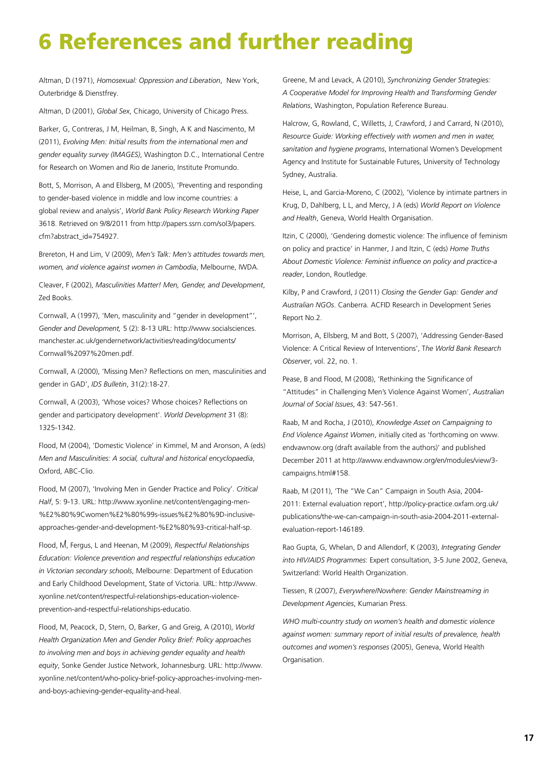## 6 References and further reading

Altman, D (1971), *Homosexual: Oppression and Liberation*, New York, Outerbridge & Dienstfrey.

Altman, D (2001), *Global Sex*, Chicago, University of Chicago Press.

Barker, G, Contreras, J M, Heilman, B, Singh, A K and Nascimento, M (2011), *Evolving Men: Initial results from the international men and gender equality survey (IMAGES)*, Washington D.C., International Centre for Research on Women and Rio de Janerio, Institute Promundo.

Bott, S, Morrison, A and Ellsberg, M (2005), 'Preventing and responding to gender-based violence in middle and low income countries: a global review and analysis', *World Bank Policy Research Working Paper*  3618. Retrieved on 9/8/2011 from http://papers.ssrn.com/sol3/papers. cfm?abstract\_id=754927.

Brereton, H and Lim, V (2009), *Men's Talk: Men's attitudes towards men, women, and violence against women in Cambodia*, Melbourne, IWDA.

Cleaver, F (2002), *Masculinities Matter! Men, Gender, and Development*, Zed Books.

Cornwall, A (1997), 'Men, masculinity and "gender in development"', *Gender and Development,* 5 (2): 8-13 URL: http://www.socialsciences. manchester.ac.uk/gendernetwork/activities/reading/documents/ Cornwall%2097%20men.pdf.

Cornwall, A (2000), 'Missing Men? Reflections on men, masculinities and gender in GAD', *IDS Bulletin*, 31(2):18-27.

Cornwall, A (2003), 'Whose voices? Whose choices? Reflections on gender and participatory development'. *World Development* 31 (8): 1325-1342.

Flood, M (2004), 'Domestic Violence' in Kimmel, M and Aronson, A (eds) *Men and Masculinities: A social, cultural and historical encyclopaedia*, Oxford, ABC-Clio.

Flood, M (2007), 'Involving Men in Gender Practice and Policy'. *Critical Half*, 5: 9-13. URL: http://www.xyonline.net/content/engaging-men- %E2%80%9Cwomen%E2%80%99s-issues%E2%80%9D-inclusiveapproaches-gender-and-development-%E2%80%93-critical-half-sp.

Flood, M, Fergus, L and Heenan, M (2009), *Respectful Relationships Education: Violence prevention and respectful relationships education in Victorian secondary schools*, Melbourne: Department of Education and Early Childhood Development, State of Victoria. URL: http://www. xyonline.net/content/respectful-relationships-education-violenceprevention-and-respectful-relationships-educatio.

Flood, M, Peacock, D, Stern, O, Barker, G and Greig, A (2010), *World Health Organization Men and Gender Policy Brief: Policy approaches to involving men and boys in achieving gender equality and health equity*, Sonke Gender Justice Network, Johannesburg. URL: http://www. xyonline.net/content/who-policy-brief-policy-approaches-involving-menand-boys-achieving-gender-equality-and-heal.

Greene, M and Levack, A (2010), *Synchronizing Gender Strategies: A Cooperative Model for Improving Health and Transforming Gender Relations*, Washington, Population Reference Bureau.

Halcrow, G, Rowland, C, Willetts, J, Crawford, J and Carrard, N (2010), *Resource Guide: Working effectively with women and men in water, sanitation and hygiene programs*, International Women's Development Agency and Institute for Sustainable Futures, University of Technology Sydney, Australia.

Heise, L, and Garcia-Moreno, C (2002), 'Violence by intimate partners in Krug, D, Dahlberg, L L, and Mercy, J A (eds) *World Report on Violence and Health*, Geneva, World Health Organisation.

Itzin, C (2000), 'Gendering domestic violence: The influence of feminism on policy and practice' in Hanmer, J and Itzin, C (eds) *Home Truths About Domestic Violence: Feminist influence on policy and practice-a reader*, London, Routledge.

Kilby, P and Crawford, J (2011) *Closing the Gender Gap: Gender and Australian NGOs*. Canberra. ACFID Research in Development Series Report No.2.

Morrison, A, Ellsberg, M and Bott, S (2007), 'Addressing Gender-Based Violence: A Critical Review of Interventions', T*he World Bank Research Observer*, vol. 22, no. 1.

Pease, B and Flood, M (2008), 'Rethinking the Significance of "Attitudes" in Challenging Men's Violence Against Women', *Australian Journal of Social Issues*, 43: 547-561.

Raab, M and Rocha, J (2010), *Knowledge Asset on Campaigning to End Violence Against Women*, initially cited as 'forthcoming on www. endvawnow.org (draft available from the authors)' and published December 2011 at http://awww.endvawnow.org/en/modules/view/3 campaigns.html#158.

Raab, M (2011), 'The "We Can" Campaign in South Asia, 2004- 2011: External evaluation report', http://policy-practice.oxfam.org.uk/ publications/the-we-can-campaign-in-south-asia-2004-2011-externalevaluation-report-146189.

Rao Gupta, G, Whelan, D and Allendorf, K (2003), *Integrating Gender into HIV/AIDS Programmes*: Expert consultation, 3-5 June 2002, Geneva, Switzerland: World Health Organization.

Tiessen, R (2007), *Everywhere/Nowhere: Gender Mainstreaming in Development Agencies*, Kumarian Press.

*WHO multi-country study on women's health and domestic violence against women: summary report of initial results of prevalence, health outcomes and women's responses* (2005), Geneva, World Health Organisation.